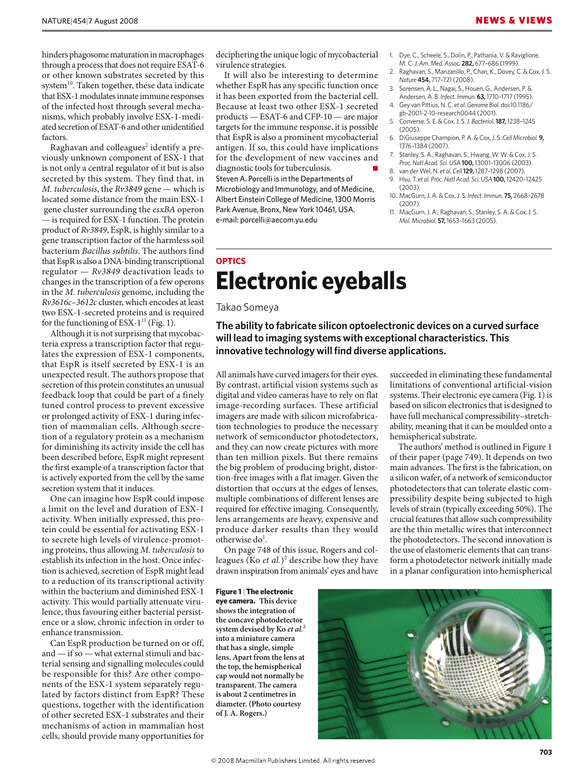hinders phagosome maturation in macrophages through a process that does not require ESAT-6 or other known substrates secreted by this system<sup>10</sup>. Taken together, these data indicate that ESX-1 modulates innate immune responses of the infected host through several mechanisms, which probably involve ESX-1-mediated secretion of ESAT-6 and other unidentified factors.

Raghavan and colleagues<sup>2</sup> identify a previously unknown component of ESX-1 that is not only a central regulator of it but is also secreted by this system. They find that, in *M. tuberculosis*, the *Rv3849* gene — which is located some distance from the main ESX-1 gene cluster surrounding the *esxBA* operon — is required for ESX-1 function. The protein product of *Rv3849*, EspR, is highly similar to a gene transcription factor of the harmless soil bacterium *Bacillus subtilis*. The authors find that EspR is also a DNA-binding transcriptional regulator — *Rv3849* deactivation leads to changes in the transcription of a few operons in the *M. tuberculosis* genome, including the *Rv3616c–3612c* cluster, which encodes at least two ESX-1-secreted proteins and is required for the functioning of ESX-1 $^{11}$  (Fig. 1).

Although it is not surprising that mycobacteria express a transcription factor that regulates the expression of ESX-1 components, that EspR is itself secreted by ESX-1 is an unexpected result. The authors propose that secretion of this protein constitutes an unusual feedback loop that could be part of a finely tuned control process to prevent excessive or prolonged activity of ESX-1 during infection of mammalian cells. Although secretion of a regulatory protein as a mechanism for diminishing its activity inside the cell has been described before, EspR might represent the first example of a transcription factor that is actively exported from the cell by the same secretion system that it induces.

One can imagine how EspR could impose a limit on the level and duration of ESX-1 activity. When initially expressed, this protein could be essential for activating ESX-1 to secrete high levels of virulence-promoting proteins, thus allowing *M. tuberculosis* to establish its infection in the host. Once infection is achieved, secretion of EspR might lead to a reduction of its transcriptional activity within the bacterium and diminished ESX-1 activity. This would partially attenuate virulence, thus favouring either bacterial persistence or a slow, chronic infection in order to enhance transmission.

Can EspR production be turned on or off, and — if so — what external stimuli and bacterial sensing and signalling molecules could be responsible for this? Are other components of the ESX-1 system separately regulated by factors distinct from EspR? These questions, together with the identification of other secreted ESX-1 substrates and their mechanisms of action in mammalian host cells, should provide many opportunities for

deciphering the unique logic of mycobacterial virulence strategies.

It will also be interesting to determine whether EspR has any specific function once it has been exported from the bacterial cell. Because at least two other ESX-1 secreted products — ESAT-6 and CFP-10 — are major targets for the immune response, it is possible that EspR is also a prominent mycobacterial antigen. If so, this could have implications for the development of new vaccines and diagnostic tools for tuberculosis. Steven A. Porcelli is in the Departments of Microbiology and Immunology, and of Medicine, Albert Einstein College of Medicine, 1300 Morris Park Avenue, Bronx, New York 10461, USA. e-mail: porcelli@aecom.yu.edu

- 1. Dye, C., Scheele, S., Dolin, P., Pathania, V. & Raviglione, M. C. *J. Am. Med. Assoc.* **282,** 677–686 (1999).
- 2. Raghavan, S., Manzanillo, P., Chan, K., Dovey, C. & Cox, J. S. *Nature* **454,** 717–721 (2008).
- 3. Sorensen, A. L., Nagai, S., Houen, G., Andersen, P. & Andersen, A. B. *Infect. Immun.* **63,** 1710–1717 (1995).
- 4. Gey van Pittius, N. C. *et al. Genome Biol.* doi:10.1186/ gb-2001-2-10-research0044 (2001).
- 5. Converse, S. E. & Cox, J. S. *J. Bacteriol.***187,** 1238–1245  $(2005)$
- 6. DiGiuseppe Champion, P. A. & Cox, J. S. *Cell Microbiol.* **9,** 1376–1384 (2007).
- 7. Stanley, S. A., Raghavan, S., Hwang, W. W. & Cox, J. S. *Proc. Natl Acad. Sci. USA* **100,** 13001–13006 (2003).
- 8. van der Wel, N. *et al. Cell***129,** 1287–1298 (2007). 9. Hsu, T. *et al. Proc. Natl Acad. Sci. USA* **100,** 12420–12425 (2003).
- 10. MacGurn, J. A. & Cox, J. S. *Infect. Immun.* **75,** 2668–2678 (2007).
- 11. MacGurn, J. A., Raghavan, S., Stanley, S. A. & Cox, J. S. *Mol. Microbiol.* **57,** 1653–1663 (2005).

succeeded in eliminating these fundamental limitations of conventional artificial-vision systems. Their electronic eye camera (Fig. 1) is based on silicon electronics that is designed to have full mechanical compressibility–stretchability, meaning that it can be moulded onto a

The authors' method is outlined in Figure 1 of their paper (page 749). It depends on two main advances. The first is the fabrication, on a silicon wafer, of a network of semiconductor photodetectors that can tolerate elastic compressibility despite being subjected to high levels of strain (typically exceeding 50%). The crucial features that allow such compressibility are the thin metallic wires that interconnect the photodetectors. The second innovation is the use of elastomeric elements that can transform a photodetector network initially made in a planar configuration into hemispherical

## **OPTICS Electronic eyeballs**

## Takao Someya

**The ability to fabricate silicon optoelectronic devices on a curved surface will lead to imaging systems with exceptional characteristics. This innovative technology will find diverse applications.** 

All animals have curved imagers for their eyes. By contrast, artificial vision systems such as digital and video cameras have to rely on flat image-recording surfaces. These artificial imagers are made with silicon microfabrication technologies to produce the necessary network of semiconductor photodetectors, and they can now create pictures with more than ten million pixels. But there remains the big problem of producing bright, distortion-free images with a flat imager. Given the distortion that occurs at the edges of lenses, multiple combinations of different lenses are required for effective imaging. Consequently, lens arrangements are heavy, expensive and produce darker results than they would otherwise  $do<sup>1</sup>$ .

On page 748 of this issue, Rogers and colleagues (Ko *et al.*)<sup>2</sup> describe how they have drawn inspiration from animals' eyes and have

**Figure 1** | **The electronic eye camera. This device shows the integration of the concave photodetector system devised by Ko** *et al.***<sup>2</sup> into a miniature camera that has a single, simple lens. Apart from the lens at the top, the hemispherical cap would not normally be transparent. The camera is about 2 centimetres in diameter. (Photo courtesy of J. A. Rogers.)** 

hemispherical substrate.